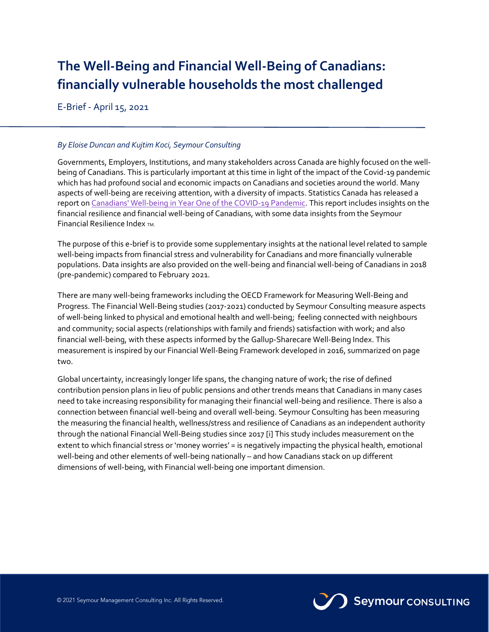# **The Well-Being and Financial Well-Being of Canadians: financially vulnerable households the most challenged**

E-Brief - April 15, 2021

## *By Eloise Duncan and Kujtim Koci, Seymour Consulting*

Governments, Employers, Institutions, and many stakeholders across Canada are highly focused on the wellbeing of Canadians. This is particularly important at this time in light of the impact of the Covid-19 pandemic which has had profound social and economic impacts on Canadians and societies around the world. Many aspects of well-being are receiving attention, with a diversity of impacts. Statistics Canada has released a report o[n Canadians' Well-being in Year One of the COVID-19](https://www150.statcan.gc.ca/en/catalogue/75F0002M2021003) Pandemic. This report includes insights on the financial resilience and financial well-being of Canadians, with some data insights from the Seymour Financial Resilience Index TM.

The purpose of this e-brief is to provide some supplementary insights at the national level related to sample well-being impacts from financial stress and vulnerability for Canadians and more financially vulnerable populations. Data insights are also provided on the well-being and financial well-being of Canadians in 2018 (pre-pandemic) compared to February 2021.

There are many well-being frameworks including the OECD Framework for Measuring Well-Being and Progress. The Financial Well-Being studies (2017-2021) conducted by Seymour Consulting measure aspects of well-being linked to physical and emotional health and well-being; feeling connected with neighbours and community; social aspects (relationships with family and friends) satisfaction with work; and also financial well-being, with these aspects informed by the Gallup-Sharecare Well-Being Index. This measurement is inspired by our Financial Well-Being Framework developed in 2016, summarized on page two.

Global uncertainty, increasingly longer life spans, the changing nature of work; the rise of defined contribution pension plans in lieu of public pensions and other trends means that Canadians in many cases need to take increasing responsibility for managing their financial well-being and resilience. There is also a connection between financial well-being and overall well-being. Seymour Consulting has been measuring the measuring the financial health, wellness/stress and resilience of Canadians as an independent authority through the national Financial Well-Being studies since 2017 [i] This study includes measurement on the extent to which financial stress or 'money worries' = is negatively impacting the physical health, emotional well-being and other elements of well-being nationally – and how Canadians stack on up different dimensions of well-being, with Financial well-being one important dimension.

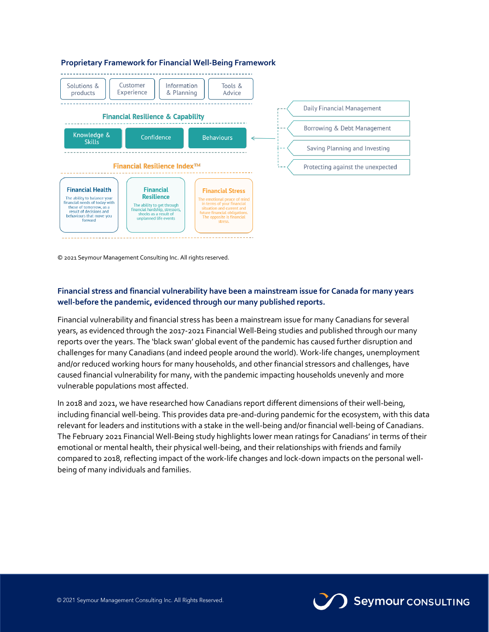

© 2021 Seymour Management Consulting Inc. All rights reserved.

## **Financial stress and financial vulnerability have been a mainstream issue for Canada for many years well-before the pandemic, evidenced through our many published reports.**

Financial vulnerability and financial stress has been a mainstream issue for many Canadians for several years, as evidenced through the 2017-2021 Financial Well-Being studies and published through our many reports over the years. The 'black swan' global event of the pandemic has caused further disruption and challenges for many Canadians (and indeed people around the world). Work-life changes, unemployment and/or reduced working hours for many households, and other financial stressors and challenges, have caused financial vulnerability for many, with the pandemic impacting households unevenly and more vulnerable populations most affected.

In 2018 and 2021, we have researched how Canadians report different dimensions of their well-being, including financial well-being. This provides data pre-and-during pandemic for the ecosystem, with this data relevant for leaders and institutions with a stake in the well-being and/or financial well-being of Canadians. The February 2021 Financial Well-Being study highlights lower mean ratings for Canadians' in terms of their emotional or mental health, their physical well-being, and their relationships with friends and family compared to 2018, reflecting impact of the work-life changes and lock-down impacts on the personal wellbeing of many individuals and families.

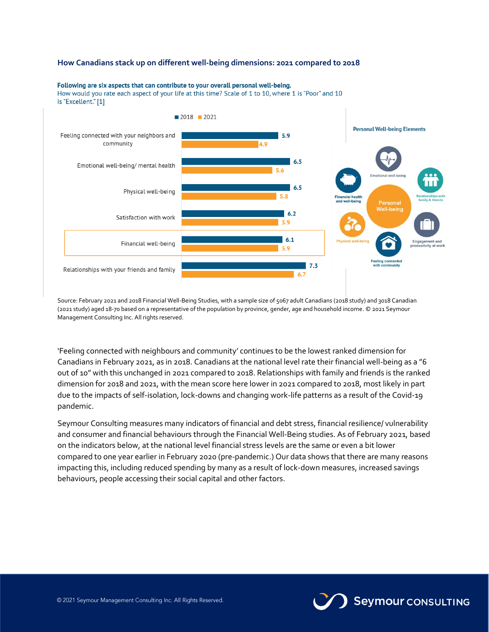## **How Canadians stack up on different well-being dimensions: 2021 compared to 2018**



## Following are six aspects that can contribute to your overall personal well-being.

How would you rate each aspect of your life at this time? Scale of 1 to 10, where 1 is "Poor" and 10 is "Excellent." [1]

Source: February 2021 and 2018 Financial Well-Being Studies, with a sample size of 5067 adult Canadians (2018 study) and 3018 Canadian (2021 study) aged 18-70 based on a representative of the population by province, gender, age and household income. © 2021 Seymour Management Consulting Inc. All rights reserved.

'Feeling connected with neighbours and community' continues to be the lowest ranked dimension for Canadians in February 2021, as in 2018. Canadians at the national level rate their financial well-being as a "6 out of 10" with this unchanged in 2021 compared to 2018. Relationships with family and friends is the ranked dimension for 2018 and 2021, with the mean score here lower in 2021 compared to 2018, most likely in part due to the impacts of self-isolation, lock-downs and changing work-life patterns as a result of the Covid-19 pandemic.

Seymour Consulting measures many indicators of financial and debt stress, financial resilience/ vulnerability and consumer and financial behaviours through the Financial Well-Being studies. As of February 2021, based on the indicators below, at the national level financial stress levels are the same or even a bit lower compared to one year earlier in February 2020 (pre-pandemic.) Our data shows that there are many reasons impacting this, including reduced spending by many as a result of lock-down measures, increased savings behaviours, people accessing their social capital and other factors.

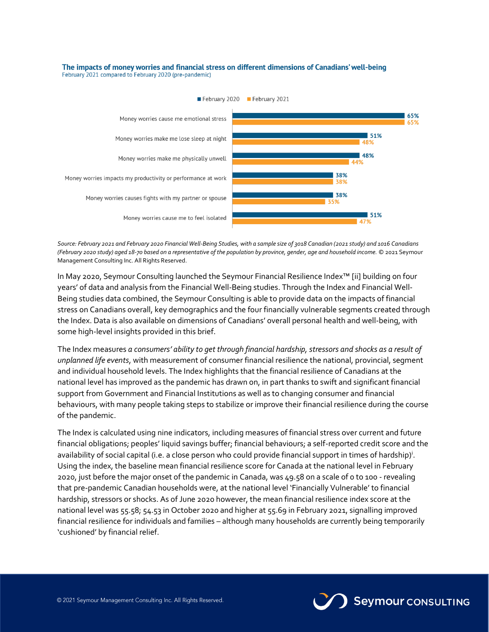#### The impacts of money worries and financial stress on different dimensions of Canadians' well-being February 2021 compared to February 2020 (pre-pandemic)



*Source: February 2021 and February 2020 Financial Well-Being Studies, with a sample size of 3018 Canadian (2021 study) and 1016 Canadians (February 2020 study) aged 18-70 based on a representative of the population by province, gender, age and household income.* © 2021 Seymour Management Consulting Inc. All Rights Reserved.

In May 2020, Seymour Consulting launched the Seymour Financial Resilience Index™ [ii] building on four years' of data and analysis from the Financial Well-Being studies. Through the Index and Financial Well-Being studies data combined, the Seymour Consulting is able to provide data on the impacts of financial stress on Canadians overall, key demographics and the four financially vulnerable segments created through the Index. Data is also available on dimensions of Canadians' overall personal health and well-being, with some high-level insights provided in this brief.

The Index measures *a consumers' ability to get through financial hardship, stressors and shocks as a result of unplanned life events*, with measurement of consumer financial resilience the national, provincial, segment and individual household levels. The Index highlights that the financial resilience of Canadians at the national level has improved as the pandemic has drawn on, in part thanks to swift and significant financial support from Government and Financial Institutions as well as to changing consumer and financial behaviours, with many people taking steps to stabilize or improve their financial resilience during the course of the pandemic.

The Index is calculated using nine indicators, including measures of financial stress over current and future financial obligations; peoples' liquid savings buffer; financial behaviours; a self-reported credit score and the availability of social capital (i.e. a close person who could provide financial support in times of hardship)<sup>i</sup> . Using the index, the baseline mean financial resilience score for Canada at the national level in February 2020, just before the major onset of the pandemic in Canada, was 49.58 on a scale of 0 to 100 - revealing that pre-pandemic Canadian households were, at the national level 'Financially Vulnerable' to financial hardship, stressors or shocks. As of June 2020 however, the mean financial resilience index score at the national level was 55.58; 54.53 in October 2020 and higher at 55.69 in February 2021, signalling improved financial resilience for individuals and families – although many households are currently being temporarily 'cushioned' by financial relief.

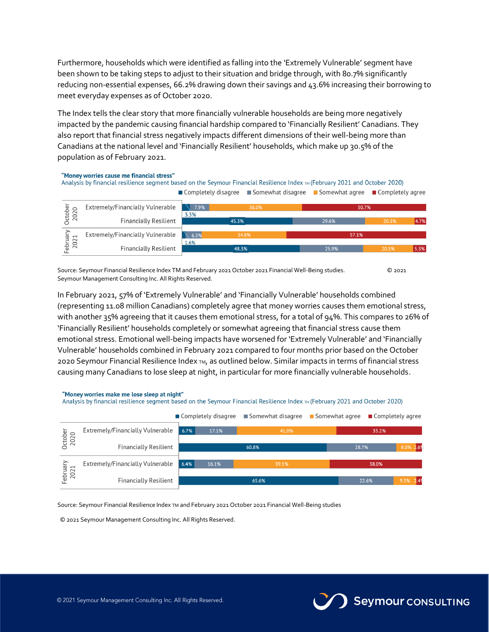Furthermore, households which were identified as falling into the 'Extremely Vulnerable' segment have been shown to be taking steps to adjust to their situation and bridge through, with 80.7% significantly reducing non-essential expenses, 66.2% drawing down their savings and 43.6% increasing their borrowing to meet everyday expenses as of October 2020.

The Index tells the clear story that more financially vulnerable households are being more negatively impacted by the pandemic causing financial hardship compared to 'Financially Resilient' Canadians. They also report that financial stress negatively impacts different dimensions of their well-being more than Canadians at the national level and 'Financially Resilient' households, which make up 30.5% of the population as of February 2021.

#### "Money worries cause me financial stress" Analysis by financial resilience segment based on the Seymour Financial Resilience Index TM (February 2021 and October 2020) Completely disagree ■ Somewhat disagree ■ Somewhat agree ■ Completely agree October Extremely/Financially Vulnerable  $\sqrt{7.9\%}$ 2020 50.7  $7.3%$ **Financially Resilient** February Extremely/Financially Vulnerable  $\sim$  6.5% 2021 1.6% **Financially Resilient**

Source: Seymour Financial Resilience Index TM and February 2021 October 2021 Financial Well-Being studies. © 2021 Seymour Management Consulting Inc. All Rights Reserved.

In February 2021, 57% of 'Extremely Vulnerable' and 'Financially Vulnerable' households combined (representing 11.08 million Canadians) completely agree that money worries causes them emotional stress, with another 35% agreeing that it causes them emotional stress, for a total of 94%. This compares to 26% of 'Financially Resilient' households completely or somewhat agreeing that financial stress cause them emotional stress. Emotional well-being impacts have worsened for 'Extremely Vulnerable' and 'Financially Vulnerable' households combined in February 2021 compared to four months prior based on the October 2020 Seymour Financial Resilience Index TM, as outlined below. Similar impacts in terms of financial stress causing many Canadians to lose sleep at night, in particular for more financially vulnerable households.

#### "Money worries make me lose sleep at night"

Analysis by financial resilience segment based on the Seymour Financial Resilience Index TM (February 2021 and October 2020)

|                 |                                  | ■ Completely disagree |       | ■ Somewhat disagree | $\blacksquare$ Somewhat agree | ■ Completely agree |       |              |
|-----------------|----------------------------------|-----------------------|-------|---------------------|-------------------------------|--------------------|-------|--------------|
| October<br>2020 | Extremely/Financially Vulnerable | 6.7%                  | 17.1% | 41.0%               |                               | 35.2%              |       |              |
|                 | <b>Financially Resilient</b>     |                       |       | 60.8%               |                               | 28.7%              |       | 8.0% 2.69    |
| ebruary<br>2021 | Extremely/Financially Vulnerable | 6.4%                  | 16.1% | 39.5%               |                               |                    | 38.0% |              |
|                 | <b>Financially Resilient</b>     |                       | 65.6% |                     |                               | 22.6%              |       | 2.49<br>9.3% |

Source: Seymour Financial Resilience Index TM and February 2021 October 2021 Financial Well-Being studies

© 2021 Seymour Management Consulting Inc. All Rights Reserved.





Seymour CONSULTING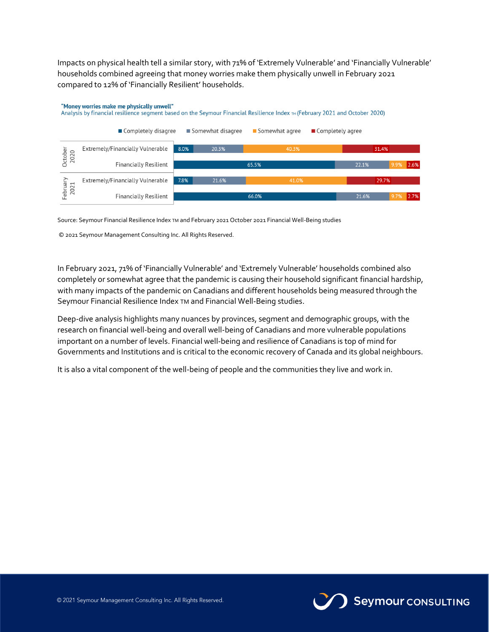Impacts on physical health tell a similar story, with 71% of 'Extremely Vulnerable' and 'Financially Vulnerable' households combined agreeing that money worries make them physically unwell in February 2021 compared to 12% of 'Financially Resilient' households.

### "Money worries make me physically unwell"

Analysis by financial resilience segment based on the Seymour Financial Resilience Index TH (February 2021 and October 2020)



Source: Seymour Financial Resilience Index TM and February 2021 October 2021 Financial Well-Being studies

© 2021 Seymour Management Consulting Inc. All Rights Reserved.

In February 2021, 71% of 'Financially Vulnerable' and 'Extremely Vulnerable' households combined also completely or somewhat agree that the pandemic is causing their household significant financial hardship, with many impacts of the pandemic on Canadians and different households being measured through the Seymour Financial Resilience Index TM and Financial Well-Being studies.

Deep-dive analysis highlights many nuances by provinces, segment and demographic groups, with the research on financial well-being and overall well-being of Canadians and more vulnerable populations important on a number of levels. Financial well-being and resilience of Canadians is top of mind for Governments and Institutions and is critical to the economic recovery of Canada and its global neighbours.

It is also a vital component of the well-being of people and the communities they live and work in.